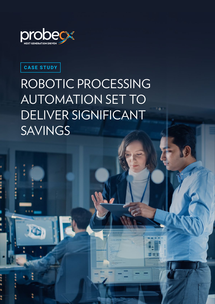

**CASE STUDY**

# ROBOTIC PROCESSING AUTOMATION SET TO DELIVER SIGNIFICANT SAVINGS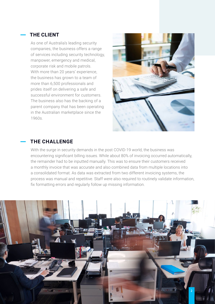### **THE CLIENT**

As one of Australia's leading security companies, the business offers a range of services including security technology, manpower, emergency and medical, corporate risk and mobile patrols. With more than 20 years' experience, the business has grown to a team of more than 6,500 professionals and prides itself on delivering a safe and successful environment for customers. The business also has the backing of a parent company that has been operating in the Australian marketplace since the 1960s.



#### **THE CHALLENGE**

With the surge in security demands in the post COVID-19 world, the business was encountering significant billing issues. While about 80% of invoicing occurred automatically, the remainder had to be inputted manually. This was to ensure their customers received a monthly invoice that was accurate and also combined data from multiple locations into a consolidated format. As data was extracted from two different invoicing systems, the process was manual and repetitive. Staff were also required to routinely validate information, fix formatting errors and regularly follow up missing information.

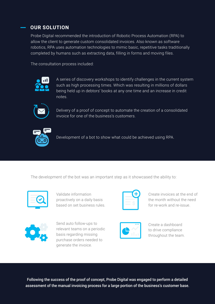## **OUR SOLUTION**

Probe Digital recommended the introduction of Robotic Process Automation (RPA) to allow the client to generate custom consolidated invoices. Also known as software robotics, RPA uses automation technologies to mimic basic, repetitive tasks traditionally completed by humans such as extracting data, filling in forms and moving files.

The consultation process included:



A series of discovery workshops to identify challenges in the current system such as high processing times. Which was resulting in millions of dollars being held up in debtors' books at any one time and an increase in credit notes.



Delivery of a proof of concept to automate the creation of a consolidated invoice for one of the business's customers.



Development of a bot to show what could be achieved using RPA.

The development of the bot was an important step as it showcased the ability to:



Validate information proactively on a daily basis based on set business rules.



Create invoices at the end of the month without the need for re-work and re-issue.



Send auto follow-ups to relevant teams on a periodic basis regarding missing purchase orders needed to generate the invoice.



Create a dashboard to drive compliance throughout the team.

Following the success of the proof of concept, Probe Digital was engaged to perform a detailed assessment of the manual invoicing process for a large portion of the business's customer base.